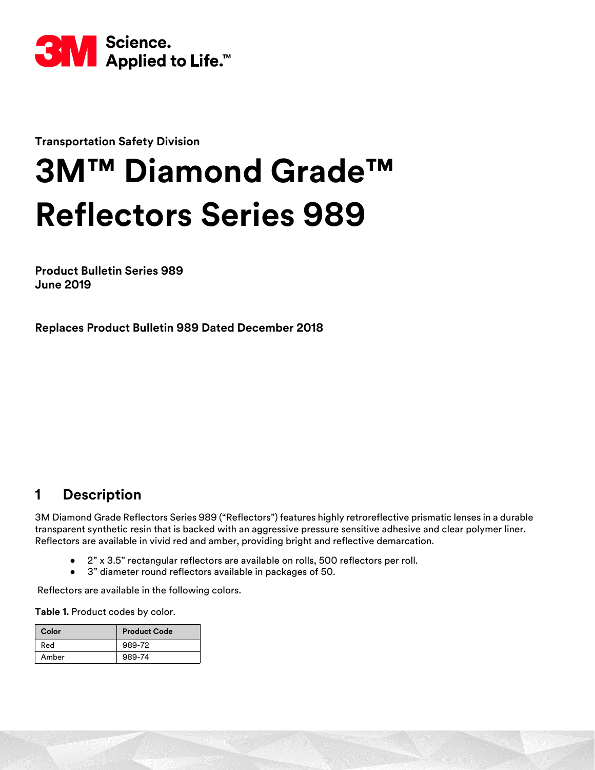

**Transportation Safety Division**

# **3M™ Diamond Grade™ Reflectors Series 989**

**Product Bulletin Series 989 June 2019**

**Replaces Product Bulletin 989 Dated December 2018**

## **1 Description**

3M Diamond Grade Reflectors Series 989 ("Reflectors") features highly retroreflective prismatic lenses in a durable transparent synthetic resin that is backed with an aggressive pressure sensitive adhesive and clear polymer liner. Reflectors are available in vivid red and amber, providing bright and reflective demarcation.

- 2" x 3.5" rectangular reflectors are available on rolls, 500 reflectors per roll.
- 3" diameter round reflectors available in packages of 50.

Reflectors are available in the following colors.

Table 1. Product codes by color.

| Color | <b>Product Code</b> |  |
|-------|---------------------|--|
| Red   | 989-72              |  |
| Amber | 989-74              |  |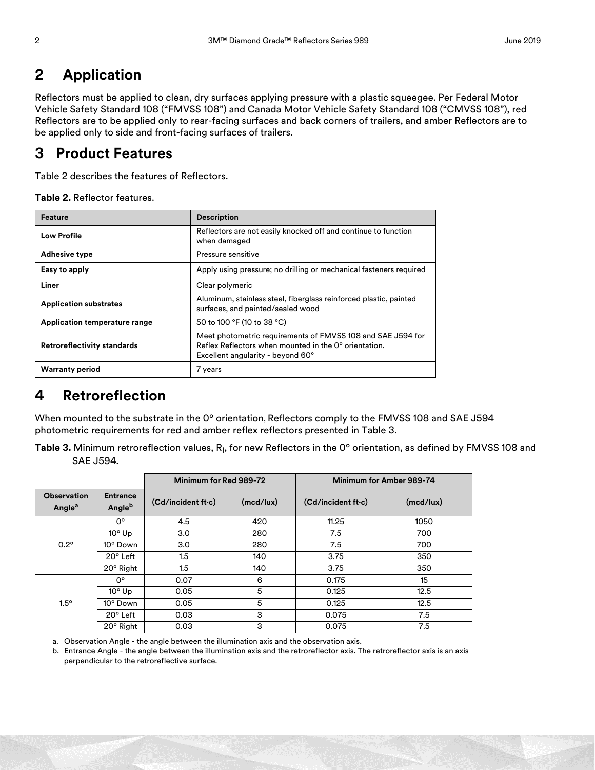## **2 Application**

Reflectors must be applied to clean, dry surfaces applying pressure with a plastic squeegee. Per Federal Motor Vehicle Safety Standard 108 ("FMVSS 108") and Canada Motor Vehicle Safety Standard 108 ("CMVSS 108"), red Reflectors are to be applied only to rear-facing surfaces and back corners of trailers, and amber Reflectors are to be applied only to side and front-facing surfaces of trailers.

## **3 Product Features**

Table [2](#page-1-0) describes the features of Reflectors.

<span id="page-1-0"></span>**Table 2.** Reflector features.

| Feature                            | <b>Description</b>                                                                                                                                        |  |  |
|------------------------------------|-----------------------------------------------------------------------------------------------------------------------------------------------------------|--|--|
| <b>Low Profile</b>                 | Reflectors are not easily knocked off and continue to function<br>when damaged                                                                            |  |  |
| <b>Adhesive type</b>               | Pressure sensitive                                                                                                                                        |  |  |
| Easy to apply                      | Apply using pressure; no drilling or mechanical fasteners required                                                                                        |  |  |
| Liner                              | Clear polymeric                                                                                                                                           |  |  |
| <b>Application substrates</b>      | Aluminum, stainless steel, fiberglass reinforced plastic, painted<br>surfaces, and painted/sealed wood                                                    |  |  |
| Application temperature range      | 50 to 100 °F (10 to 38 °C)                                                                                                                                |  |  |
| <b>Retroreflectivity standards</b> | Meet photometric requirements of FMVSS 108 and SAE J594 for<br>Reflex Reflectors when mounted in the 0° orientation.<br>Excellent angularity - beyond 60° |  |  |
| <b>Warranty period</b>             | 7 years                                                                                                                                                   |  |  |

## **4 Retroreflection**

When mounted to the substrate in the 0° orientation, Reflectors comply to the FMVSS 108 and SAE J594 photometric requirements for red and amber reflex reflectors presented in Table [3](#page-1-1).

<span id="page-1-1"></span> ${\sf Table~3.}$  Minimum retroreflection values,  ${\sf R}_{\sf I}$ , for new Reflectors in the 0° orientation, as defined by FMVSS 108 and SAE J594.

|                                          |                           | Minimum for Red 989-72 |           | Minimum for Amber 989-74 |           |
|------------------------------------------|---------------------------|------------------------|-----------|--------------------------|-----------|
| <b>Observation</b><br>Angle <sup>a</sup> | <b>Entrance</b><br>Angleb | (Cd/incident ft·c)     | (mod/lux) | (Cd/incident ft·c)       | (mcd/lux) |
| $0.2^\circ$                              | 0°                        | 4.5                    | 420       | 11.25                    | 1050      |
|                                          | $10^{\circ}$ Up           | 3.0                    | 280       | 7.5                      | 700       |
|                                          | 10° Down                  | 3.0                    | 280       | 7.5                      | 700       |
|                                          | $20^{\circ}$ Left         | 1.5                    | 140       | 3.75                     | 350       |
|                                          | $20^{\circ}$ Right        | 1.5                    | 140       | 3.75                     | 350       |
| $1.5^\circ$                              | 0°                        | 0.07                   | 6         | 0.175                    | 15        |
|                                          | $10^{\circ}$ Up           | 0.05                   | 5         | 0.125                    | 12.5      |
|                                          | 10° Down                  | 0.05                   | 5         | 0.125                    | 12.5      |
|                                          | 20° Left                  | 0.03                   | 3         | 0.075                    | 7.5       |
|                                          | $20^{\circ}$ Right        | 0.03                   | 3         | 0.075                    | 7.5       |

a. Observation Angle - the angle between the illumination axis and the observation axis.

b. Entrance Angle - the angle between the illumination axis and the retroreflector axis. The retroreflector axis is an axis perpendicular to the retroreflective surface.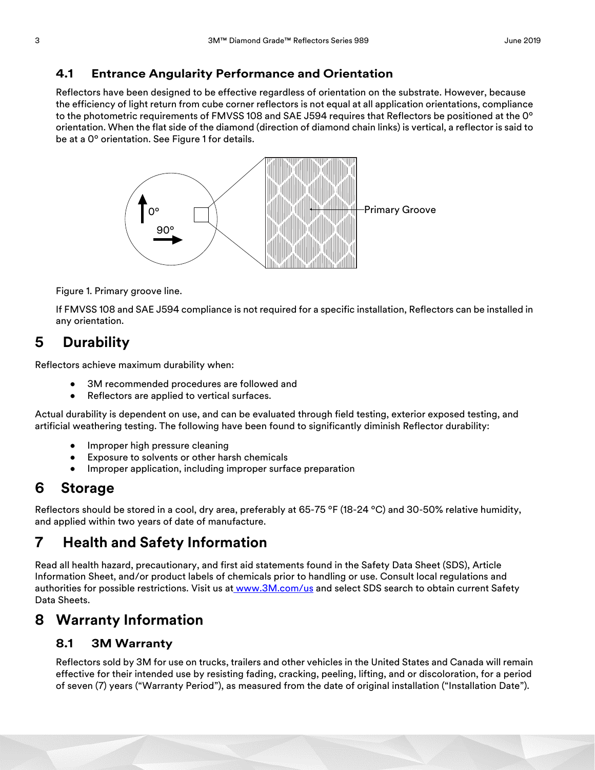#### **4.1 Entrance Angularity Performance and Orientation**

Reflectors have been designed to be effective regardless of orientation on the substrate. However, because the efficiency of light return from cube corner reflectors is not equal at all application orientations, compliance to the photometric requirements of FMVSS 108 and SAE J594 requires that Reflectors be positioned at the 0º orientation. When the flat side of the diamond (direction of diamond chain links) is vertical, a reflector is said to be at a 0º orientation. See Figure 1 for details.



Figure 1. Primary groove line.

If FMVSS 108 and SAE J594 compliance is not required for a specific installation, Reflectors can be installed in any orientation.

## **5 Durability**

Reflectors achieve maximum durability when:

- 3M recommended procedures are followed and
- Reflectors are applied to vertical surfaces.

Actual durability is dependent on use, and can be evaluated through field testing, exterior exposed testing, and artificial weathering testing. The following have been found to significantly diminish Reflector durability:

- Improper high pressure cleaning
- Exposure to solvents or other harsh chemicals
- Improper application, including improper surface preparation

## **6 Storage**

Reflectors should be stored in a cool, dry area, preferably at 65-75 ºF (18-24 ºC) and 30-50% relative humidity, and applied within two years of date of manufacture.

## **7 Health and Safety Information**

Read all health hazard, precautionary, and first aid statements found in the Safety Data Sheet (SDS), Article Information Sheet, and/or product labels of chemicals prior to handling or use. Consult local regulations and authorities for possible restrictions. Visit us a[t www.3M.com/us](https://www.3m.com/3M/en_US/company-us/?WT.mc_id=www.3m.com/us) and select SDS search to obtain current Safety Data Sheets.

## **8 Warranty Information**

#### **8.1 3M Warranty**

Reflectors sold by 3M for use on trucks, trailers and other vehicles in the United States and Canada will remain effective for their intended use by resisting fading, cracking, peeling, lifting, and or discoloration, for a period of seven (7) years ("Warranty Period"), as measured from the date of original installation ("Installation Date").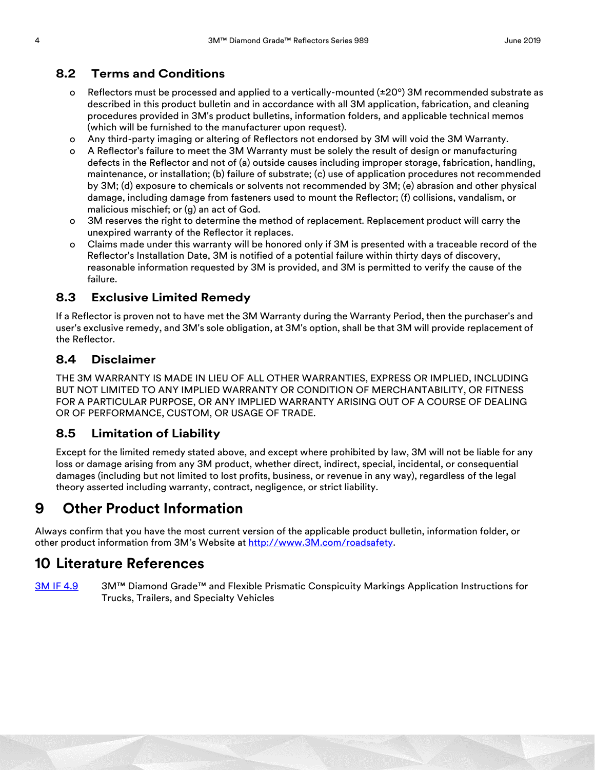### **8.2 Terms and Conditions**

- o Reflectors must be processed and applied to a vertically-mounted  $(\pm 20^{\circ})$  3M recommended substrate as described in this product bulletin and in accordance with all 3M application, fabrication, and cleaning procedures provided in 3M's product bulletins, information folders, and applicable technical memos (which will be furnished to the manufacturer upon request).
- o Any third-party imaging or altering of Reflectors not endorsed by 3M will void the 3M Warranty.
- o A Reflector's failure to meet the 3M Warranty must be solely the result of design or manufacturing defects in the Reflector and not of (a) outside causes including improper storage, fabrication, handling, maintenance, or installation; (b) failure of substrate; (c) use of application procedures not recommended by 3M; (d) exposure to chemicals or solvents not recommended by 3M; (e) abrasion and other physical damage, including damage from fasteners used to mount the Reflector; (f) collisions, vandalism, or malicious mischief; or (g) an act of God.
- o 3M reserves the right to determine the method of replacement. Replacement product will carry the unexpired warranty of the Reflector it replaces.
- o Claims made under this warranty will be honored only if 3M is presented with a traceable record of the Reflector's Installation Date, 3M is notified of a potential failure within thirty days of discovery, reasonable information requested by 3M is provided, and 3M is permitted to verify the cause of the failure.

#### **8.3 Exclusive Limited Remedy**

If a Reflector is proven not to have met the 3M Warranty during the Warranty Period, then the purchaser's and user's exclusive remedy, and 3M's sole obligation, at 3M's option, shall be that 3M will provide replacement of the Reflector.

#### **8.4 Disclaimer**

THE 3M WARRANTY IS MADE IN LIEU OF ALL OTHER WARRANTIES, EXPRESS OR IMPLIED, INCLUDING BUT NOT LIMITED TO ANY IMPLIED WARRANTY OR CONDITION OF MERCHANTABILITY, OR FITNESS FOR A PARTICULAR PURPOSE, OR ANY IMPLIED WARRANTY ARISING OUT OF A COURSE OF DEALING OR OF PERFORMANCE, CUSTOM, OR USAGE OF TRADE.

#### **8.5 Limitation of Liability**

Except for the limited remedy stated above, and except where prohibited by law, 3M will not be liable for any loss or damage arising from any 3M product, whether direct, indirect, special, incidental, or consequential damages (including but not limited to lost profits, business, or revenue in any way), regardless of the legal theory asserted including warranty, contract, negligence, or strict liability.

## **9 Other Product Information**

Always confirm that you have the most current version of the applicable product bulletin, information folder, or other product information from 3M's Website at [http://www.3M.com/roadsafety.](http://www.mmm.com/tss)

## **10 Literature References**

[3M IF 4.9](http://multimedia.3m.com/mws/media/51285O/if-4-9-3m-diamond-grade-and-flexible-prismatic-consp.pdf
) 3M™ Diamond Grade™ and Flexible Prismatic Conspicuity Markings Application Instructions for Trucks, Trailers, and Specialty Vehicles